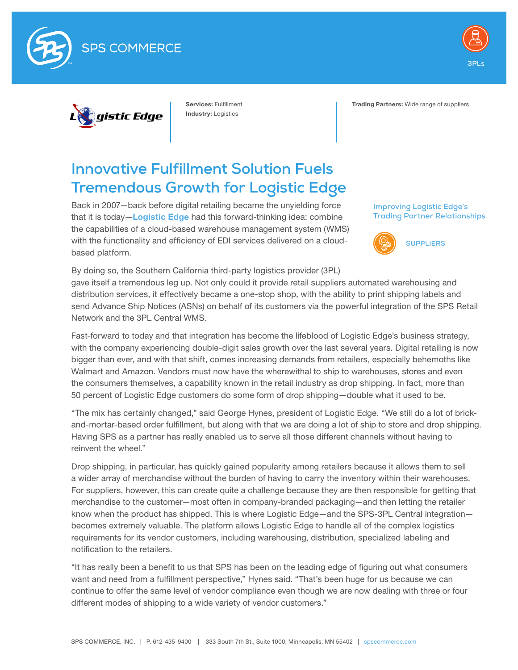





Services: Fulfillment Industry: Logistics

Trading Partners: Wide range of suppliers

## **Innovative Fulfillment Solution Fuels Tremendous Growth for Logistic Edge**

Back in 2007—back before digital retailing became the unyielding force that it is today-[Logistic Edge](http://www.logisticedge.com/) had this forward-thinking idea: combine the capabilities of a cloud-based warehouse management system (WMS) with the functionality and efficiency of EDI services delivered on a cloudbased platform.

**Improving Logistic Edge's Trading Partner Relationships**



By doing so, the Southern California third-party logistics provider (3PL) gave itself a tremendous leg up. Not only could it provide retail suppliers automated warehousing and distribution services, it effectively became a one-stop shop, with the ability to print shipping labels and send Advance Ship Notices (ASNs) on behalf of its customers via the powerful integration of the SPS Retail Network and the 3PL Central WMS.

Fast-forward to today and that integration has become the lifeblood of Logistic Edge's business strategy, with the company experiencing double-digit sales growth over the last several years. Digital retailing is now bigger than ever, and with that shift, comes increasing demands from retailers, especially behemoths like Walmart and Amazon. Vendors must now have the wherewithal to ship to warehouses, stores and even the consumers themselves, a capability known in the retail industry as drop shipping. In fact, more than 50 percent of Logistic Edge customers do some form of drop shipping—double what it used to be.

"The mix has certainly changed," said George Hynes, president of Logistic Edge. "We still do a lot of brickand-mortar-based order fulfillment, but along with that we are doing a lot of ship to store and drop shipping. Having SPS as a partner has really enabled us to serve all those different channels without having to reinvent the wheel."

Drop shipping, in particular, has quickly gained popularity among retailers because it allows them to sell a wider array of merchandise without the burden of having to carry the inventory within their warehouses. For suppliers, however, this can create quite a challenge because they are then responsible for getting that merchandise to the customer—most often in company-branded packaging—and then letting the retailer know when the product has shipped. This is where Logistic Edge—and the SPS-3PL Central integration becomes extremely valuable. The platform allows Logistic Edge to handle all of the complex logistics requirements for its vendor customers, including warehousing, distribution, specialized labeling and notification to the retailers.

"It has really been a benefit to us that SPS has been on the leading edge of figuring out what consumers want and need from a fulfillment perspective," Hynes said. "That's been huge for us because we can continue to offer the same level of vendor compliance even though we are now dealing with three or four different modes of shipping to a wide variety of vendor customers."